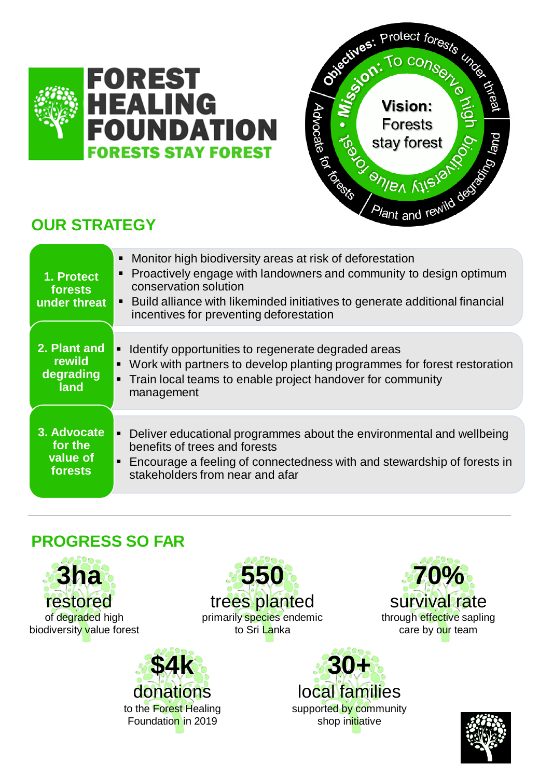



# **OUR STRATEGY**

| 1. Protect<br>forests<br>under threat         | Monitor high biodiversity areas at risk of deforestation<br>• Proactively engage with landowners and community to design optimum<br>conservation solution<br>• Build alliance with likeminded initiatives to generate additional financial<br>incentives for preventing deforestation |
|-----------------------------------------------|---------------------------------------------------------------------------------------------------------------------------------------------------------------------------------------------------------------------------------------------------------------------------------------|
| 2. Plant and<br>rewild<br>degrading<br>land   | • Identify opportunities to regenerate degraded areas<br>Work with partners to develop planting programmes for forest restoration<br>$\blacksquare$<br>• Train local teams to enable project handover for community<br>management                                                     |
| 3. Advocate<br>for the<br>value of<br>forests | • Deliver educational programmes about the environmental and wellbeing<br>benefits of trees and forests<br>• Encourage a feeling of connectedness with and stewardship of forests in<br>stakeholders from near and afar                                                               |

## **PROGRESS SO FAR**